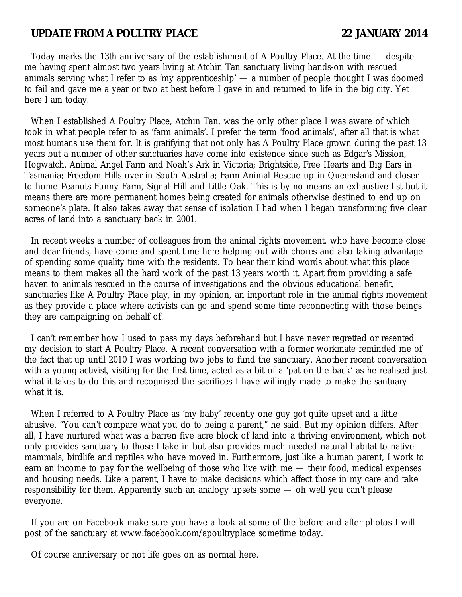## **UPDATE FROM A POULTRY PLACE 22 JANUARY 2014**

Today marks the 13th anniversary of the establishment of A Poultry Place. At the time — despite me having spent almost two years living at Atchin Tan sanctuary living hands-on with rescued animals serving what I refer to as 'my apprenticeship' — a number of people thought I was doomed to fail and gave me a year or two at best before I gave in and returned to life in the big city. Yet here I am today.

When I established A Poultry Place, Atchin Tan, was the only other place I was aware of which took in what people refer to as 'farm animals'. I prefer the term 'food animals', after all that is what most humans use them for. It is gratifying that not only has A Poultry Place grown during the past 13 years but a number of other sanctuaries have come into existence since such as Edgar's Mission, Hogwatch, Animal Angel Farm and Noah's Ark in Victoria; Brightside, Free Hearts and Big Ears in Tasmania; Freedom Hills over in South Australia; Farm Animal Rescue up in Queensland and closer to home Peanuts Funny Farm, Signal Hill and Little Oak. This is by no means an exhaustive list but it means there are more permanent homes being created for animals otherwise destined to end up on someone's plate. It also takes away that sense of isolation I had when I began transforming five clear acres of land into a sanctuary back in 2001.

In recent weeks a number of colleagues from the animal rights movement, who have become close and dear friends, have come and spent time here helping out with chores and also taking advantage of spending some quality time with the residents. To hear their kind words about what this place means to them makes all the hard work of the past 13 years worth it. Apart from providing a safe haven to animals rescued in the course of investigations and the obvious educational benefit, sanctuaries like A Poultry Place play, in my opinion, an important role in the animal rights movement as they provide a place where activists can go and spend some time reconnecting with those beings they are campaigning on behalf of.

I can't remember how I used to pass my days beforehand but I have never regretted or resented my decision to start A Poultry Place. A recent conversation with a former workmate reminded me of the fact that up until 2010 I was working two jobs to fund the sanctuary. Another recent conversation with a young activist, visiting for the first time, acted as a bit of a 'pat on the back' as he realised just what it takes to do this and recognised the sacrifices I have willingly made to make the santuary what it is.

When I referred to A Poultry Place as 'my baby' recently one guy got quite upset and a little abusive. "You can't compare what you do to being a parent," he said. But my opinion differs. After all, I have nurtured what was a barren five acre block of land into a thriving environment, which not only provides sanctuary to those I take in but also provides much needed natural habitat to native mammals, birdlife and reptiles who have moved in. Furthermore, just like a human parent, I work to earn an income to pay for the wellbeing of those who live with me — their food, medical expenses and housing needs. Like a parent, I have to make decisions which affect those in my care and take responsibility for them. Apparently such an analogy upsets some — oh well you can't please everyone.

If you are on Facebook make sure you have a look at some of the before and after photos I will post of the sanctuary at www.facebook.com/apoultryplace sometime today.

Of course anniversary or not life goes on as normal here.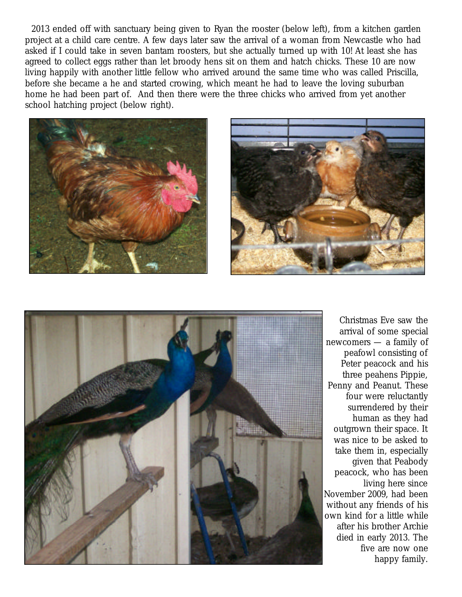2013 ended off with sanctuary being given to Ryan the rooster (below left), from a kitchen garden project at a child care centre. A few days later saw the arrival of a woman from Newcastle who had asked if I could take in seven bantam roosters, but she actually turned up with 10! At least she has agreed to collect eggs rather than let broody hens sit on them and hatch chicks. These 10 are now living happily with another little fellow who arrived around the same time who was called Priscilla, before she became a he and started crowing, which meant he had to leave the loving suburban home he had been part of. And then there were the three chicks who arrived from yet another school hatching project (below right).







Christmas Eve saw the arrival of some special newcomers — a family of peafowl consisting of Peter peacock and his three peahens Pippie, Penny and Peanut. These four were reluctantly surrendered by their human as they had outgrown their space. It was nice to be asked to take them in, especially given that Peabody peacock, who has been living here since November 2009, had been without any friends of his own kind for a little while after his brother Archie died in early 2013. The five are now one happy family.